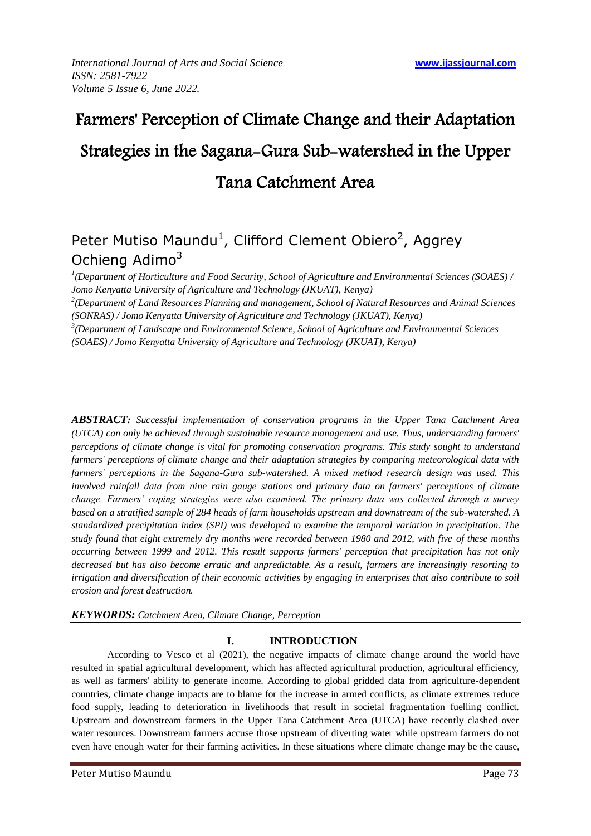# Farmers' Perception of Climate Change and their Adaptation Strategies in the Sagana-Gura Sub-watershed in the Upper Tana Catchment Area

# Peter Mutiso Maundu<sup>1</sup>, Clifford Clement Obiero<sup>2</sup>, Aggrey Ochieng Adimo<sup>3</sup>

*1 (Department of Horticulture and Food Security, School of Agriculture and Environmental Sciences (SOAES) / Jomo Kenyatta University of Agriculture and Technology (JKUAT), Kenya)*

*2 (Department of Land Resources Planning and management, School of Natural Resources and Animal Sciences (SONRAS) / Jomo Kenyatta University of Agriculture and Technology (JKUAT), Kenya)*

*3 (Department of Landscape and Environmental Science, School of Agriculture and Environmental Sciences (SOAES) / Jomo Kenyatta University of Agriculture and Technology (JKUAT), Kenya)*

*ABSTRACT: Successful implementation of conservation programs in the Upper Tana Catchment Area (UTCA) can only be achieved through sustainable resource management and use. Thus, understanding farmers' perceptions of climate change is vital for promoting conservation programs. This study sought to understand farmers' perceptions of climate change and their adaptation strategies by comparing meteorological data with farmers' perceptions in the Sagana-Gura sub-watershed. A mixed method research design was used. This involved rainfall data from nine rain gauge stations and primary data on farmers' perceptions of climate change. Farmers' coping strategies were also examined. The primary data was collected through a survey based on a stratified sample of 284 heads of farm households upstream and downstream of the sub-watershed. A standardized precipitation index (SPI) was developed to examine the temporal variation in precipitation. The study found that eight extremely dry months were recorded between 1980 and 2012, with five of these months occurring between 1999 and 2012. This result supports farmers' perception that precipitation has not only decreased but has also become erratic and unpredictable. As a result, farmers are increasingly resorting to irrigation and diversification of their economic activities by engaging in enterprises that also contribute to soil erosion and forest destruction.*

# *KEYWORDS: Catchment Area, Climate Change, Perception*

# **I. INTRODUCTION**

According to Vesco et al (2021), the negative impacts of climate change around the world have resulted in spatial agricultural development, which has affected agricultural production, agricultural efficiency, as well as farmers' ability to generate income. According to global gridded data from agriculture-dependent countries, climate change impacts are to blame for the increase in armed conflicts, as climate extremes reduce food supply, leading to deterioration in livelihoods that result in societal fragmentation fuelling conflict. Upstream and downstream farmers in the Upper Tana Catchment Area (UTCA) have recently clashed over water resources. Downstream farmers accuse those upstream of diverting water while upstream farmers do not even have enough water for their farming activities. In these situations where climate change may be the cause,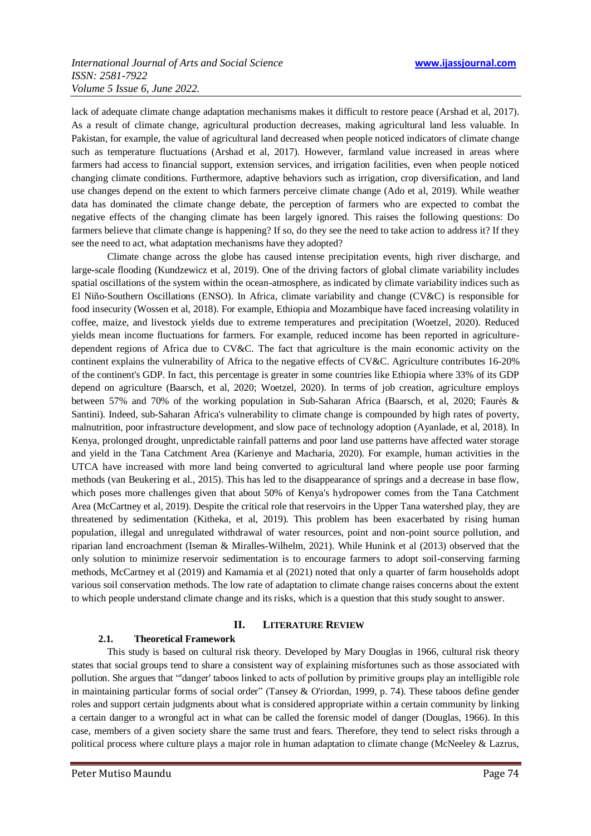## *ISSN: 2581-7922 Volume 5 Issue 6, June 2022.*

lack of adequate climate change adaptation mechanisms makes it difficult to restore peace (Arshad et al, 2017). As a result of climate change, agricultural production decreases, making agricultural land less valuable. In Pakistan, for example, the value of agricultural land decreased when people noticed indicators of climate change such as temperature fluctuations (Arshad et al, 2017). However, farmland value increased in areas where farmers had access to financial support, extension services, and irrigation facilities, even when people noticed changing climate conditions. Furthermore, adaptive behaviors such as irrigation, crop diversification, and land use changes depend on the extent to which farmers perceive climate change (Ado et al, 2019). While weather data has dominated the climate change debate, the perception of farmers who are expected to combat the negative effects of the changing climate has been largely ignored. This raises the following questions: Do farmers believe that climate change is happening? If so, do they see the need to take action to address it? If they see the need to act, what adaptation mechanisms have they adopted?

Climate change across the globe has caused intense precipitation events, high river discharge, and large-scale flooding (Kundzewicz et al, 2019). One of the driving factors of global climate variability includes spatial oscillations of the system within the ocean-atmosphere, as indicated by climate variability indices such as El Niño-Southern Oscillations (ENSO). In Africa, climate variability and change (CV&C) is responsible for food insecurity (Wossen et al, 2018). For example, Ethiopia and Mozambique have faced increasing volatility in coffee, maize, and livestock yields due to extreme temperatures and precipitation (Woetzel, 2020). Reduced yields mean income fluctuations for farmers. For example, reduced income has been reported in agriculturedependent regions of Africa due to CV&C. The fact that agriculture is the main economic activity on the continent explains the vulnerability of Africa to the negative effects of CV&C. Agriculture contributes 16-20% of the continent's GDP. In fact, this percentage is greater in some countries like Ethiopia where 33% of its GDP depend on agriculture (Baarsch, et al, 2020; Woetzel, 2020). In terms of job creation, agriculture employs between 57% and 70% of the working population in Sub-Saharan Africa (Baarsch, et al, 2020; Faurès & Santini). Indeed, sub-Saharan Africa's vulnerability to climate change is compounded by high rates of poverty, malnutrition, poor infrastructure development, and slow pace of technology adoption (Ayanlade, et al, 2018). In Kenya, prolonged drought, unpredictable rainfall patterns and poor land use patterns have affected water storage and yield in the Tana Catchment Area (Karienye and Macharia, 2020). For example, human activities in the UTCA have increased with more land being converted to agricultural land where people use poor farming methods (van Beukering et al., 2015). This has led to the disappearance of springs and a decrease in base flow, which poses more challenges given that about 50% of Kenya's hydropower comes from the Tana Catchment Area (McCartney et al, 2019). Despite the critical role that reservoirs in the Upper Tana watershed play, they are threatened by sedimentation (Kitheka, et al, 2019). This problem has been exacerbated by rising human population, illegal and unregulated withdrawal of water resources, point and non-point source pollution, and riparian land encroachment (Iseman & Miralles-Wilhelm, 2021). While Hunink et al (2013) observed that the only solution to minimize reservoir sedimentation is to encourage farmers to adopt soil-conserving farming methods, McCartney et al (2019) and Kamamia et al (2021) noted that only a quarter of farm households adopt various soil conservation methods. The low rate of adaptation to climate change raises concerns about the extent to which people understand climate change and its risks, which is a question that this study sought to answer.

# **II. LITERATURE REVIEW**

# **2.1. Theoretical Framework**

This study is based on cultural risk theory. Developed by Mary Douglas in 1966, cultural risk theory states that social groups tend to share a consistent way of explaining misfortunes such as those associated with pollution. She argues that "danger' taboos linked to acts of pollution by primitive groups play an intelligible role in maintaining particular forms of social order" (Tansey & O'riordan, 1999, p. 74). These taboos define gender roles and support certain judgments about what is considered appropriate within a certain community by linking a certain danger to a wrongful act in what can be called the forensic model of danger (Douglas, 1966). In this case, members of a given society share the same trust and fears. Therefore, they tend to select risks through a political process where culture plays a major role in human adaptation to climate change (McNeeley & Lazrus,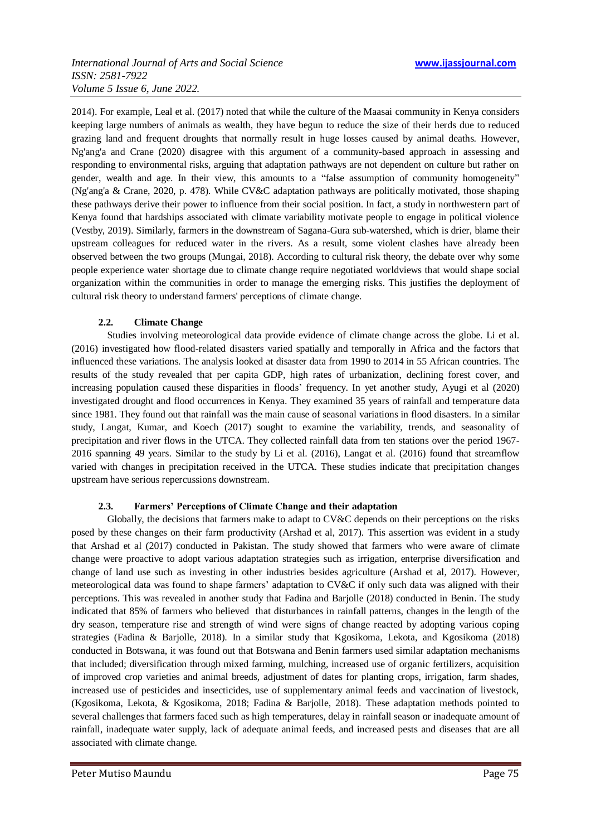2014). For example, Leal et al. (2017) noted that while the culture of the Maasai community in Kenya considers keeping large numbers of animals as wealth, they have begun to reduce the size of their herds due to reduced grazing land and frequent droughts that normally result in huge losses caused by animal deaths. However, Ng'ang'a and Crane (2020) disagree with this argument of a community-based approach in assessing and responding to environmental risks, arguing that adaptation pathways are not dependent on culture but rather on gender, wealth and age. In their view, this amounts to a "false assumption of community homogeneity" (Ng'ang'a & Crane, 2020, p. 478). While CV&C adaptation pathways are politically motivated, those shaping these pathways derive their power to influence from their social position. In fact, a study in northwestern part of Kenya found that hardships associated with climate variability motivate people to engage in political violence (Vestby, 2019). Similarly, farmers in the downstream of Sagana-Gura sub-watershed, which is drier, blame their upstream colleagues for reduced water in the rivers. As a result, some violent clashes have already been observed between the two groups (Mungai, 2018). According to cultural risk theory, the debate over why some people experience water shortage due to climate change require negotiated worldviews that would shape social organization within the communities in order to manage the emerging risks. This justifies the deployment of cultural risk theory to understand farmers' perceptions of climate change.

# **2.2. Climate Change**

Studies involving meteorological data provide evidence of climate change across the globe. Li et al. (2016) investigated how flood-related disasters varied spatially and temporally in Africa and the factors that influenced these variations. The analysis looked at disaster data from 1990 to 2014 in 55 African countries. The results of the study revealed that per capita GDP, high rates of urbanization, declining forest cover, and increasing population caused these disparities in floods' frequency. In yet another study, Ayugi et al (2020) investigated drought and flood occurrences in Kenya. They examined 35 years of rainfall and temperature data since 1981. They found out that rainfall was the main cause of seasonal variations in flood disasters. In a similar study, Langat, Kumar, and Koech (2017) sought to examine the variability, trends, and seasonality of precipitation and river flows in the UTCA. They collected rainfall data from ten stations over the period 1967- 2016 spanning 49 years. Similar to the study by Li et al. (2016), Langat et al. (2016) found that streamflow varied with changes in precipitation received in the UTCA. These studies indicate that precipitation changes upstream have serious repercussions downstream.

# **2.3. Farmers' Perceptions of Climate Change and their adaptation**

Globally, the decisions that farmers make to adapt to CV&C depends on their perceptions on the risks posed by these changes on their farm productivity (Arshad et al, 2017). This assertion was evident in a study that Arshad et al (2017) conducted in Pakistan. The study showed that farmers who were aware of climate change were proactive to adopt various adaptation strategies such as irrigation, enterprise diversification and change of land use such as investing in other industries besides agriculture (Arshad et al, 2017). However, meteorological data was found to shape farmers' adaptation to CV&C if only such data was aligned with their perceptions. This was revealed in another study that Fadina and Barjolle (2018) conducted in Benin. The study indicated that 85% of farmers who believed that disturbances in rainfall patterns, changes in the length of the dry season, temperature rise and strength of wind were signs of change reacted by adopting various coping strategies (Fadina & Barjolle, 2018). In a similar study that Kgosikoma, Lekota, and Kgosikoma (2018) conducted in Botswana, it was found out that Botswana and Benin farmers used similar adaptation mechanisms that included; diversification through mixed farming, mulching, increased use of organic fertilizers, acquisition of improved crop varieties and animal breeds, adjustment of dates for planting crops, irrigation, farm shades, increased use of pesticides and insecticides, use of supplementary animal feeds and vaccination of livestock, (Kgosikoma, Lekota, & Kgosikoma, 2018; Fadina & Barjolle, 2018). These adaptation methods pointed to several challenges that farmers faced such as high temperatures, delay in rainfall season or inadequate amount of rainfall, inadequate water supply, lack of adequate animal feeds, and increased pests and diseases that are all associated with climate change.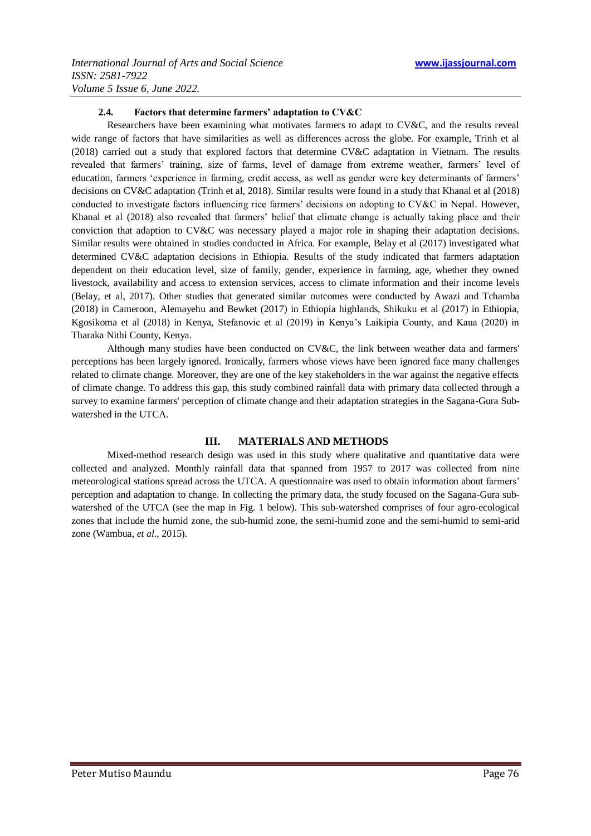#### **2.4. Factors that determine farmers' adaptation to CV&C**

Researchers have been examining what motivates farmers to adapt to CV&C, and the results reveal wide range of factors that have similarities as well as differences across the globe. For example, Trinh et al (2018) carried out a study that explored factors that determine CV&C adaptation in Vietnam. The results revealed that farmers' training, size of farms, level of damage from extreme weather, farmers' level of education, farmers ‗experience in farming, credit access, as well as gender were key determinants of farmers' decisions on CV&C adaptation (Trinh et al, 2018). Similar results were found in a study that Khanal et al (2018) conducted to investigate factors influencing rice farmers' decisions on adopting to CV&C in Nepal. However, Khanal et al (2018) also revealed that farmers' belief that climate change is actually taking place and their conviction that adaption to CV&C was necessary played a major role in shaping their adaptation decisions. Similar results were obtained in studies conducted in Africa. For example, Belay et al (2017) investigated what determined CV&C adaptation decisions in Ethiopia. Results of the study indicated that farmers adaptation dependent on their education level, size of family, gender, experience in farming, age, whether they owned livestock, availability and access to extension services, access to climate information and their income levels (Belay, et al, 2017). Other studies that generated similar outcomes were conducted by Awazi and Tchamba (2018) in Cameroon, Alemayehu and Bewket (2017) in Ethiopia highlands, Shikuku et al (2017) in Ethiopia, Kgosikoma et al (2018) in Kenya, Stefanovic et al (2019) in Kenya's Laikipia County, and Kaua (2020) in Tharaka Nithi County, Kenya.

Although many studies have been conducted on CV&C, the link between weather data and farmers' perceptions has been largely ignored. Ironically, farmers whose views have been ignored face many challenges related to climate change. Moreover, they are one of the key stakeholders in the war against the negative effects of climate change. To address this gap, this study combined rainfall data with primary data collected through a survey to examine farmers' perception of climate change and their adaptation strategies in the Sagana-Gura Subwatershed in the UTCA.

# **III. MATERIALS AND METHODS**

Mixed-method research design was used in this study where qualitative and quantitative data were collected and analyzed. Monthly rainfall data that spanned from 1957 to 2017 was collected from nine meteorological stations spread across the UTCA. A questionnaire was used to obtain information about farmers' perception and adaptation to change. In collecting the primary data, the study focused on the Sagana-Gura subwatershed of the UTCA (see the map in Fig. 1 below). This sub-watershed comprises of four agro-ecological zones that include the humid zone, the sub-humid zone, the semi-humid zone and the semi-humid to semi-arid zone (Wambua, *et al*., 2015).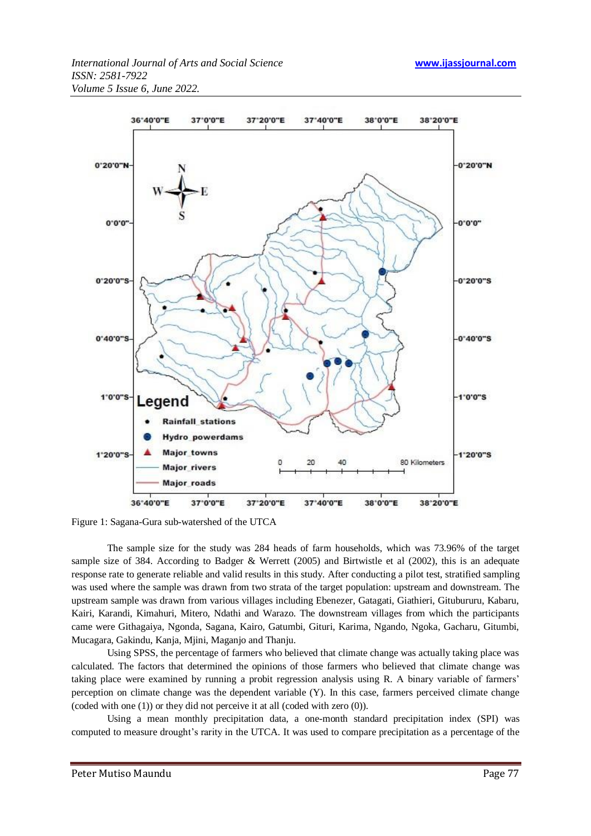

Figure 1: Sagana-Gura sub-watershed of the UTCA

The sample size for the study was 284 heads of farm households, which was 73.96% of the target sample size of 384. According to Badger & Werrett (2005) and Birtwistle et al (2002), this is an adequate response rate to generate reliable and valid results in this study. After conducting a pilot test, stratified sampling was used where the sample was drawn from two strata of the target population: upstream and downstream. The upstream sample was drawn from various villages including Ebenezer, Gatagati, Giathieri, Gitubururu, Kabaru, Kairi, Karandi, Kimahuri, Mitero, Ndathi and Warazo. The downstream villages from which the participants came were Githagaiya, Ngonda, Sagana, Kairo, Gatumbi, Gituri, Karima, Ngando, Ngoka, Gacharu, Gitumbi, Mucagara, Gakindu, Kanja, Mjini, Maganjo and Thanju.

Using SPSS, the percentage of farmers who believed that climate change was actually taking place was calculated. The factors that determined the opinions of those farmers who believed that climate change was taking place were examined by running a probit regression analysis using R. A binary variable of farmers' perception on climate change was the dependent variable (Y). In this case, farmers perceived climate change (coded with one (1)) or they did not perceive it at all (coded with zero (0)).

Using a mean monthly precipitation data, a one-month standard precipitation index (SPI) was computed to measure drought's rarity in the UTCA. It was used to compare precipitation as a percentage of the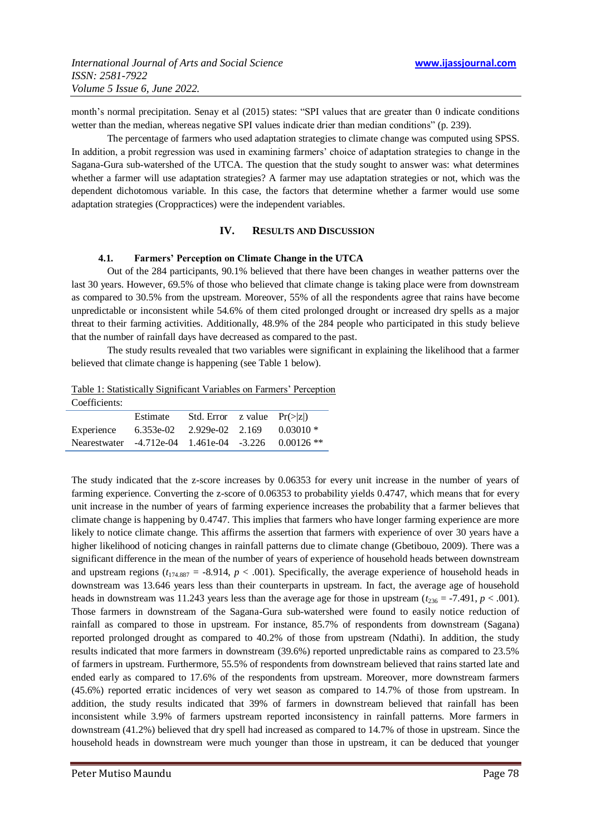month's normal precipitation. Senay et al (2015) states: "SPI values that are greater than 0 indicate conditions wetter than the median, whereas negative SPI values indicate drier than median conditions" (p. 239).

The percentage of farmers who used adaptation strategies to climate change was computed using SPSS. In addition, a probit regression was used in examining farmers' choice of adaptation strategies to change in the Sagana-Gura sub-watershed of the UTCA. The question that the study sought to answer was: what determines whether a farmer will use adaptation strategies? A farmer may use adaptation strategies or not, which was the dependent dichotomous variable. In this case, the factors that determine whether a farmer would use some adaptation strategies (Croppractices) were the independent variables.

#### **IV. RESULTS AND DISCUSSION**

#### **4.1. Farmers' Perception on Climate Change in the UTCA**

Out of the 284 participants, 90.1% believed that there have been changes in weather patterns over the last 30 years. However, 69.5% of those who believed that climate change is taking place were from downstream as compared to 30.5% from the upstream. Moreover, 55% of all the respondents agree that rains have become unpredictable or inconsistent while 54.6% of them cited prolonged drought or increased dry spells as a major threat to their farming activities. Additionally, 48.9% of the 284 people who participated in this study believe that the number of rainfall days have decreased as compared to the past.

The study results revealed that two variables were significant in explaining the likelihood that a farmer believed that climate change is happening (see Table 1 below).

| Table 1: Statistically Significant Variables on Farmers' Perception |  |  |
|---------------------------------------------------------------------|--|--|
|                                                                     |  |  |

| Coefficients:                                                  |                                       |                                  |  |
|----------------------------------------------------------------|---------------------------------------|----------------------------------|--|
|                                                                | Estimate                              | Std. Error z value $Pr(\ge  z )$ |  |
| Experience                                                     | 6.353e-02 2.929e-02 2.169 0.03010 $*$ |                                  |  |
| Nearestwater -4.712e-04 1.461e-04 -3.226 0.00126 <sup>**</sup> |                                       |                                  |  |

The study indicated that the z-score increases by 0.06353 for every unit increase in the number of years of farming experience. Converting the z-score of 0.06353 to probability yields 0.4747, which means that for every unit increase in the number of years of farming experience increases the probability that a farmer believes that climate change is happening by 0.4747. This implies that farmers who have longer farming experience are more likely to notice climate change. This affirms the assertion that farmers with experience of over 30 years have a higher likelihood of noticing changes in rainfall patterns due to climate change (Gbetibouo, 2009). There was a significant difference in the mean of the number of years of experience of household heads between downstream and upstream regions  $(t_{174.887} = -8.914, p < .001)$ . Specifically, the average experience of household heads in downstream was 13.646 years less than their counterparts in upstream. In fact, the average age of household heads in downstream was 11.243 years less than the average age for those in upstream  $(t_{236} = -7.491, p < .001)$ . Those farmers in downstream of the Sagana-Gura sub-watershed were found to easily notice reduction of rainfall as compared to those in upstream. For instance, 85.7% of respondents from downstream (Sagana) reported prolonged drought as compared to 40.2% of those from upstream (Ndathi). In addition, the study results indicated that more farmers in downstream (39.6%) reported unpredictable rains as compared to 23.5% of farmers in upstream. Furthermore, 55.5% of respondents from downstream believed that rains started late and ended early as compared to 17.6% of the respondents from upstream. Moreover, more downstream farmers (45.6%) reported erratic incidences of very wet season as compared to 14.7% of those from upstream. In addition, the study results indicated that 39% of farmers in downstream believed that rainfall has been inconsistent while 3.9% of farmers upstream reported inconsistency in rainfall patterns. More farmers in downstream (41.2%) believed that dry spell had increased as compared to 14.7% of those in upstream. Since the household heads in downstream were much younger than those in upstream, it can be deduced that younger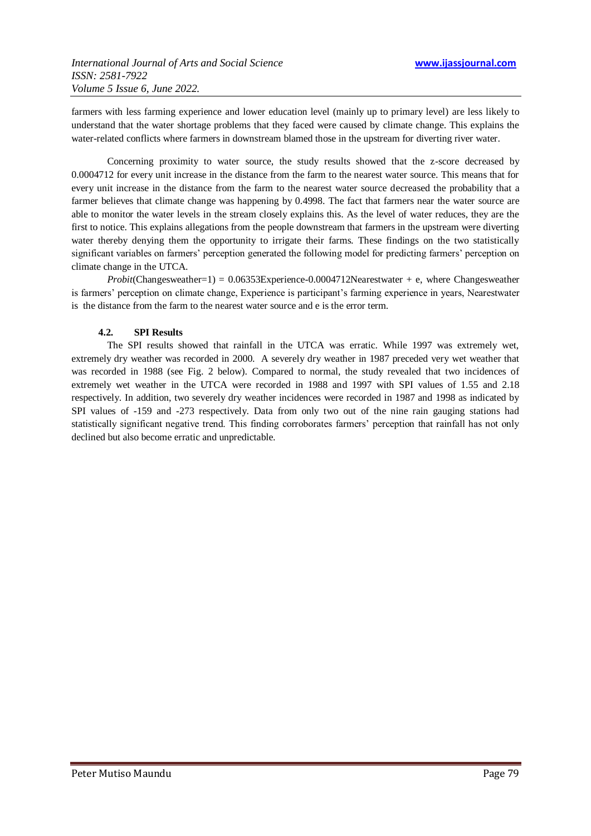farmers with less farming experience and lower education level (mainly up to primary level) are less likely to understand that the water shortage problems that they faced were caused by climate change. This explains the water-related conflicts where farmers in downstream blamed those in the upstream for diverting river water.

Concerning proximity to water source, the study results showed that the z-score decreased by 0.0004712 for every unit increase in the distance from the farm to the nearest water source. This means that for every unit increase in the distance from the farm to the nearest water source decreased the probability that a farmer believes that climate change was happening by 0.4998. The fact that farmers near the water source are able to monitor the water levels in the stream closely explains this. As the level of water reduces, they are the first to notice. This explains allegations from the people downstream that farmers in the upstream were diverting water thereby denying them the opportunity to irrigate their farms. These findings on the two statistically significant variables on farmers' perception generated the following model for predicting farmers' perception on climate change in the UTCA.

*Probit*(Changesweather=1) = 0.06353Experience-0.0004712Nearestwater + e, where Changesweather is farmers' perception on climate change, Experience is participant's farming experience in years, Nearestwater is the distance from the farm to the nearest water source and e is the error term.

# **4.2. SPI Results**

The SPI results showed that rainfall in the UTCA was erratic. While 1997 was extremely wet, extremely dry weather was recorded in 2000. A severely dry weather in 1987 preceded very wet weather that was recorded in 1988 (see Fig. 2 below). Compared to normal, the study revealed that two incidences of extremely wet weather in the UTCA were recorded in 1988 and 1997 with SPI values of 1.55 and 2.18 respectively. In addition, two severely dry weather incidences were recorded in 1987 and 1998 as indicated by SPI values of -159 and -273 respectively. Data from only two out of the nine rain gauging stations had statistically significant negative trend. This finding corroborates farmers' perception that rainfall has not only declined but also become erratic and unpredictable.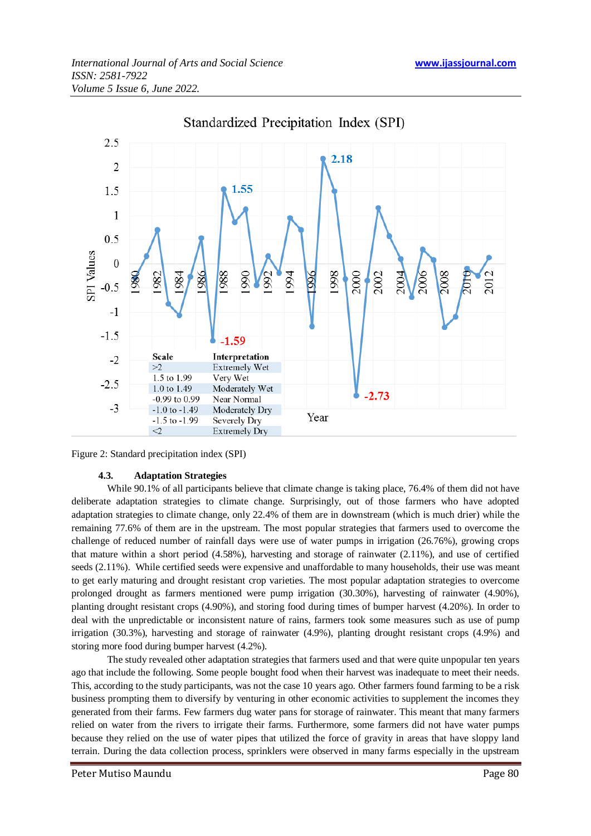

Standardized Precipitation Index (SPI)

Figure 2: Standard precipitation index (SPI)

# **4.3. Adaptation Strategies**

While 90.1% of all participants believe that climate change is taking place, 76.4% of them did not have deliberate adaptation strategies to climate change. Surprisingly, out of those farmers who have adopted adaptation strategies to climate change, only 22.4% of them are in downstream (which is much drier) while the remaining 77.6% of them are in the upstream. The most popular strategies that farmers used to overcome the challenge of reduced number of rainfall days were use of water pumps in irrigation (26.76%), growing crops that mature within a short period (4.58%), harvesting and storage of rainwater (2.11%), and use of certified seeds (2.11%). While certified seeds were expensive and unaffordable to many households, their use was meant to get early maturing and drought resistant crop varieties. The most popular adaptation strategies to overcome prolonged drought as farmers mentioned were pump irrigation (30.30%), harvesting of rainwater (4.90%), planting drought resistant crops (4.90%), and storing food during times of bumper harvest (4.20%). In order to deal with the unpredictable or inconsistent nature of rains, farmers took some measures such as use of pump irrigation (30.3%), harvesting and storage of rainwater (4.9%), planting drought resistant crops (4.9%) and storing more food during bumper harvest (4.2%).

The study revealed other adaptation strategies that farmers used and that were quite unpopular ten years ago that include the following. Some people bought food when their harvest was inadequate to meet their needs. This, according to the study participants, was not the case 10 years ago. Other farmers found farming to be a risk business prompting them to diversify by venturing in other economic activities to supplement the incomes they generated from their farms. Few farmers dug water pans for storage of rainwater. This meant that many farmers relied on water from the rivers to irrigate their farms. Furthermore, some farmers did not have water pumps because they relied on the use of water pipes that utilized the force of gravity in areas that have sloppy land terrain. During the data collection process, sprinklers were observed in many farms especially in the upstream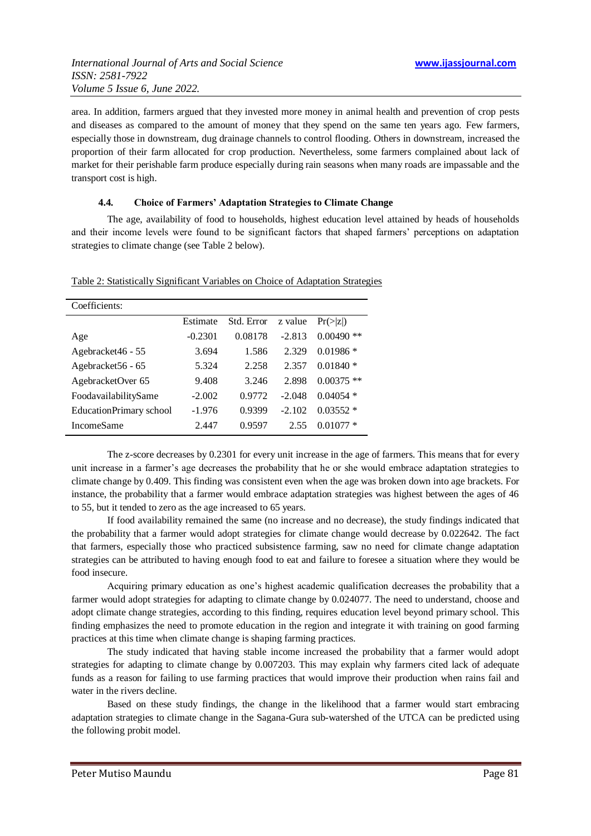area. In addition, farmers argued that they invested more money in animal health and prevention of crop pests and diseases as compared to the amount of money that they spend on the same ten years ago. Few farmers, especially those in downstream, dug drainage channels to control flooding. Others in downstream, increased the proportion of their farm allocated for crop production. Nevertheless, some farmers complained about lack of market for their perishable farm produce especially during rain seasons when many roads are impassable and the transport cost is high.

# **4.4. Choice of Farmers' Adaptation Strategies to Climate Change**

The age, availability of food to households, highest education level attained by heads of households and their income levels were found to be significant factors that shaped farmers' perceptions on adaptation strategies to climate change (see Table 2 below).

| Coefficients:                  |           |            |          |                      |
|--------------------------------|-----------|------------|----------|----------------------|
|                                | Estimate  | Std. Error | z value  | $Pr(>\vert z \vert)$ |
| Age                            | $-0.2301$ | 0.08178    | $-2.813$ | $0.00490$ **         |
| Agebracket46 - 55              | 3.694     | 1.586      | 2.329    | $0.01986*$           |
| Agebracket56 - 65              | 5.324     | 2.258      | 2.357    | $0.01840*$           |
| AgebracketOver 65              | 9.408     | 3.246      | 2.898    | $0.00375$ **         |
| FoodavailabilitySame           | $-2.002$  | 0.9772     | $-2.048$ | $0.04054*$           |
| <b>EducationPrimary school</b> | $-1.976$  | 0.9399     | $-2.102$ | $0.03552*$           |
| <b>IncomeSame</b>              | 2.447     | 0.9597     | 2.55     | 0.010                |

Table 2: Statistically Significant Variables on Choice of Adaptation Strategies

The z-score decreases by 0.2301 for every unit increase in the age of farmers. This means that for every unit increase in a farmer's age decreases the probability that he or she would embrace adaptation strategies to climate change by 0.409. This finding was consistent even when the age was broken down into age brackets. For instance, the probability that a farmer would embrace adaptation strategies was highest between the ages of 46 to 55, but it tended to zero as the age increased to 65 years.

If food availability remained the same (no increase and no decrease), the study findings indicated that the probability that a farmer would adopt strategies for climate change would decrease by 0.022642. The fact that farmers, especially those who practiced subsistence farming, saw no need for climate change adaptation strategies can be attributed to having enough food to eat and failure to foresee a situation where they would be food insecure.

Acquiring primary education as one's highest academic qualification decreases the probability that a farmer would adopt strategies for adapting to climate change by 0.024077. The need to understand, choose and adopt climate change strategies, according to this finding, requires education level beyond primary school. This finding emphasizes the need to promote education in the region and integrate it with training on good farming practices at this time when climate change is shaping farming practices.

The study indicated that having stable income increased the probability that a farmer would adopt strategies for adapting to climate change by 0.007203. This may explain why farmers cited lack of adequate funds as a reason for failing to use farming practices that would improve their production when rains fail and water in the rivers decline.

Based on these study findings, the change in the likelihood that a farmer would start embracing adaptation strategies to climate change in the Sagana-Gura sub-watershed of the UTCA can be predicted using the following probit model.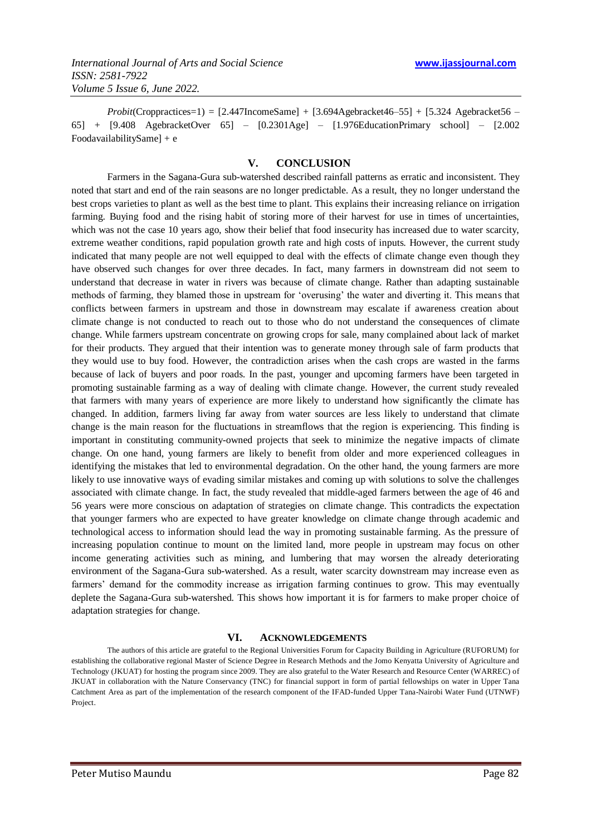*Probit*(Croppractices=1) = [2.447IncomeSame] + [3.694Agebracket46–55] + [5.324 Agebracket56 – 65] + [9.408 AgebracketOver 65] – [0.2301Age] – [1.976EducationPrimary school] – [2.002 FoodavailabilitySame] + e

#### **V. CONCLUSION**

Farmers in the Sagana-Gura sub-watershed described rainfall patterns as erratic and inconsistent. They noted that start and end of the rain seasons are no longer predictable. As a result, they no longer understand the best crops varieties to plant as well as the best time to plant. This explains their increasing reliance on irrigation farming. Buying food and the rising habit of storing more of their harvest for use in times of uncertainties, which was not the case 10 years ago, show their belief that food insecurity has increased due to water scarcity, extreme weather conditions, rapid population growth rate and high costs of inputs. However, the current study indicated that many people are not well equipped to deal with the effects of climate change even though they have observed such changes for over three decades. In fact, many farmers in downstream did not seem to understand that decrease in water in rivers was because of climate change. Rather than adapting sustainable methods of farming, they blamed those in upstream for 'overusing' the water and diverting it. This means that conflicts between farmers in upstream and those in downstream may escalate if awareness creation about climate change is not conducted to reach out to those who do not understand the consequences of climate change. While farmers upstream concentrate on growing crops for sale, many complained about lack of market for their products. They argued that their intention was to generate money through sale of farm products that they would use to buy food. However, the contradiction arises when the cash crops are wasted in the farms because of lack of buyers and poor roads. In the past, younger and upcoming farmers have been targeted in promoting sustainable farming as a way of dealing with climate change. However, the current study revealed that farmers with many years of experience are more likely to understand how significantly the climate has changed. In addition, farmers living far away from water sources are less likely to understand that climate change is the main reason for the fluctuations in streamflows that the region is experiencing. This finding is important in constituting community-owned projects that seek to minimize the negative impacts of climate change. On one hand, young farmers are likely to benefit from older and more experienced colleagues in identifying the mistakes that led to environmental degradation. On the other hand, the young farmers are more likely to use innovative ways of evading similar mistakes and coming up with solutions to solve the challenges associated with climate change. In fact, the study revealed that middle-aged farmers between the age of 46 and 56 years were more conscious on adaptation of strategies on climate change. This contradicts the expectation that younger farmers who are expected to have greater knowledge on climate change through academic and technological access to information should lead the way in promoting sustainable farming. As the pressure of increasing population continue to mount on the limited land, more people in upstream may focus on other income generating activities such as mining, and lumbering that may worsen the already deteriorating environment of the Sagana-Gura sub-watershed. As a result, water scarcity downstream may increase even as farmers' demand for the commodity increase as irrigation farming continues to grow. This may eventually deplete the Sagana-Gura sub-watershed. This shows how important it is for farmers to make proper choice of adaptation strategies for change.

#### **VI. ACKNOWLEDGEMENTS**

The authors of this article are grateful to the Regional Universities Forum for Capacity Building in Agriculture (RUFORUM) for establishing the collaborative regional Master of Science Degree in Research Methods and the Jomo Kenyatta University of Agriculture and Technology (JKUAT) for hosting the program since 2009. They are also grateful to the Water Research and Resource Center (WARREC) of JKUAT in collaboration with the Nature Conservancy (TNC) for financial support in form of partial fellowships on water in Upper Tana Catchment Area as part of the implementation of the research component of the IFAD-funded Upper Tana-Nairobi Water Fund (UTNWF) Project.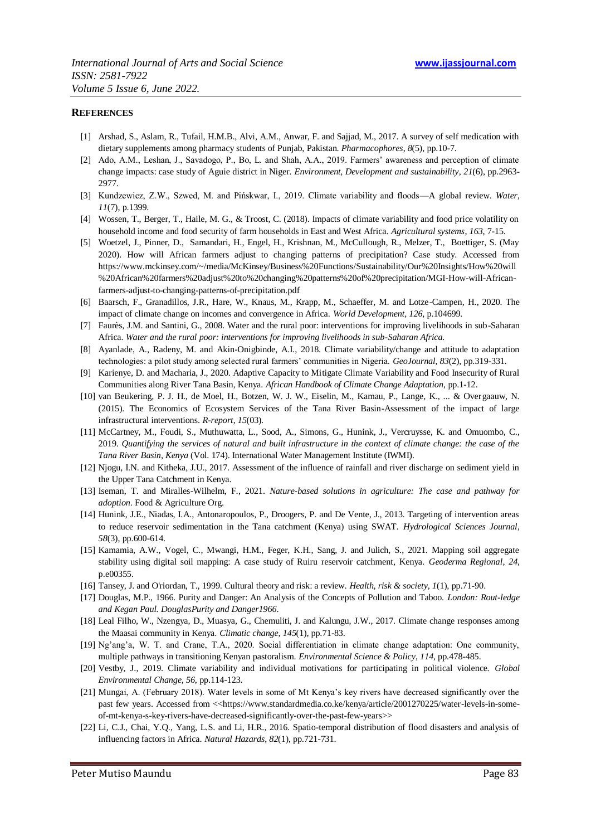#### **REFERENCES**

- [1] Arshad, S., Aslam, R., Tufail, H.M.B., Alvi, A.M., Anwar, F. and Sajjad, M., 2017. A survey of self medication with dietary supplements among pharmacy students of Punjab, Pakistan. *Pharmacophores*, *8*(5), pp.10-7.
- [2] Ado, A.M., Leshan, J., Savadogo, P., Bo, L. and Shah, A.A., 2019. Farmers' awareness and perception of climate change impacts: case study of Aguie district in Niger. *Environment, Development and sustainability*, *21*(6), pp.2963- 2977.
- [3] Kundzewicz, Z.W., Szwed, M. and Pińskwar, I., 2019. Climate variability and floods—A global review. *Water*, *11*(7), p.1399.
- [4] Wossen, T., Berger, T., Haile, M. G., & Troost, C. (2018). Impacts of climate variability and food price volatility on household income and food security of farm households in East and West Africa. *Agricultural systems*, *163*, 7-15.
- [5] Woetzel, J., Pinner, D., Samandari, H., Engel, H., Krishnan, M., McCullough, R., Melzer, T., Boettiger, S. (May 2020). How will African farmers adjust to changing patterns of precipitation? Case study. Accessed from https://www.mckinsey.com/~/media/McKinsey/Business%20Functions/Sustainability/Our%20Insights/How%20will %20African%20farmers%20adjust%20to%20changing%20patterns%20of%20precipitation/MGI-How-will-Africanfarmers-adjust-to-changing-patterns-of-precipitation.pdf
- [6] Baarsch, F., Granadillos, J.R., Hare, W., Knaus, M., Krapp, M., Schaeffer, M. and Lotze-Campen, H., 2020. The impact of climate change on incomes and convergence in Africa. *World Development*, *126*, p.104699.
- [7] Faurès, J.M. and Santini, G., 2008. Water and the rural poor: interventions for improving livelihoods in sub-Saharan Africa. *Water and the rural poor: interventions for improving livelihoods in sub-Saharan Africa.*
- [8] Ayanlade, A., Radeny, M. and Akin-Onigbinde, A.I., 2018. Climate variability/change and attitude to adaptation technologies: a pilot study among selected rural farmers' communities in Nigeria. *GeoJournal*, *83*(2), pp.319-331.
- [9] Karienye, D. and Macharia, J., 2020. Adaptive Capacity to Mitigate Climate Variability and Food Insecurity of Rural Communities along River Tana Basin, Kenya. *African Handbook of Climate Change Adaptation*, pp.1-12.
- [10] van Beukering, P. J. H., de Moel, H., Botzen, W. J. W., Eiselin, M., Kamau, P., Lange, K., ... & Overgaauw, N. (2015). The Economics of Ecosystem Services of the Tana River Basin-Assessment of the impact of large infrastructural interventions. *R-report*, *15*(03).
- [11] McCartney, M., Foudi, S., Muthuwatta, L., Sood, A., Simons, G., Hunink, J., Vercruysse, K. and Omuombo, C., 2019. *Quantifying the services of natural and built infrastructure in the context of climate change: the case of the Tana River Basin, Kenya* (Vol. 174). International Water Management Institute (IWMI).
- [12] Njogu, I.N. and Kitheka, J.U., 2017. Assessment of the influence of rainfall and river discharge on sediment yield in the Upper Tana Catchment in Kenya.
- [13] Iseman, T. and Miralles-Wilhelm, F., 2021. *Nature-based solutions in agriculture: The case and pathway for adoption*. Food & Agriculture Org.
- [14] Hunink, J.E., Niadas, I.A., Antonaropoulos, P., Droogers, P. and De Vente, J., 2013. Targeting of intervention areas to reduce reservoir sedimentation in the Tana catchment (Kenya) using SWAT. *Hydrological Sciences Journal*, *58*(3), pp.600-614.
- [15] Kamamia, A.W., Vogel, C., Mwangi, H.M., Feger, K.H., Sang, J. and Julich, S., 2021. Mapping soil aggregate stability using digital soil mapping: A case study of Ruiru reservoir catchment, Kenya. *Geoderma Regional*, *24*, p.e00355.
- [16] Tansey, J. and O'riordan, T., 1999. Cultural theory and risk: a review. *Health, risk & society*, *1*(1), pp.71-90.
- [17] Douglas, M.P., 1966. Purity and Danger: An Analysis of the Concepts of Pollution and Taboo. *London: Rout-ledge and Kegan Paul. DouglasPurity and Danger1966*.
- [18] Leal Filho, W., Nzengya, D., Muasya, G., Chemuliti, J. and Kalungu, J.W., 2017. Climate change responses among the Maasai community in Kenya. *Climatic change*, *145*(1), pp.71-83.
- [19] Ng'ang'a, W. T. and Crane, T.A., 2020. Social differentiation in climate change adaptation: One community, multiple pathways in transitioning Kenyan pastoralism. *Environmental Science & Policy*, *114*, pp.478-485.
- [20] Vestby, J., 2019. Climate variability and individual motivations for participating in political violence. *Global Environmental Change*, *56*, pp.114-123.
- [21] Mungai, A. (February 2018). Water levels in some of Mt Kenya's key rivers have decreased significantly over the past few years. Accessed from <<https://www.standardmedia.co.ke/kenya/article/2001270225/water-levels-in-someof-mt-kenya-s-key-rivers-have-decreased-significantly-over-the-past-few-years>>
- [22] Li, C.J., Chai, Y.Q., Yang, L.S. and Li, H.R., 2016. Spatio-temporal distribution of flood disasters and analysis of influencing factors in Africa. *Natural Hazards*, *82*(1), pp.721-731.